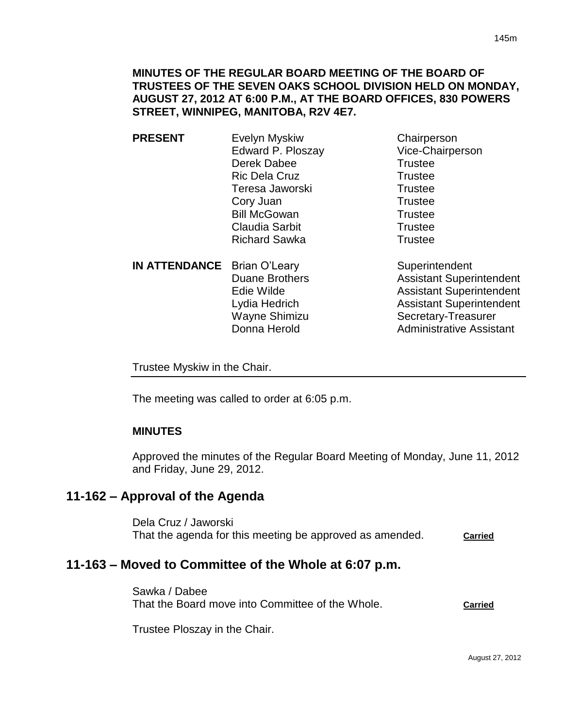**MINUTES OF THE REGULAR BOARD MEETING OF THE BOARD OF TRUSTEES OF THE SEVEN OAKS SCHOOL DIVISION HELD ON MONDAY, AUGUST 27, 2012 AT 6:00 P.M., AT THE BOARD OFFICES, 830 POWERS STREET, WINNIPEG, MANITOBA, R2V 4E7.**

- **PRESENT** Evelyn Myskiw Chairperson Edward P. Ploszay Vice-Chairperson Derek Dabee Trustee Ric Dela Cruz **Trustee** Teresa Jaworski **Trustee** Cory Juan Trustee Bill McGowan Trustee Claudia Sarbit **Trustee** Richard Sawka Trustee
	- **IN ATTENDANCE** Brian O'Leary Superintendent Wayne Shimizu Secretary-Treasurer Donna Herold **Administrative Assistant**

Duane Brothers **Assistant Superintendent** Edie Wilde **Assistant Superintendent** Lydia Hedrich Assistant Superintendent

Trustee Myskiw in the Chair.

The meeting was called to order at 6:05 p.m.

## **MINUTES**

Approved the minutes of the Regular Board Meeting of Monday, June 11, 2012 and Friday, June 29, 2012.

# **11-162 – Approval of the Agenda**

Dela Cruz / Jaworski That the agenda for this meeting be approved as amended. **Carried**

# **11-163 – Moved to Committee of the Whole at 6:07 p.m.**

Sawka / Dabee That the Board move into Committee of the Whole. **Carried**

Trustee Ploszay in the Chair.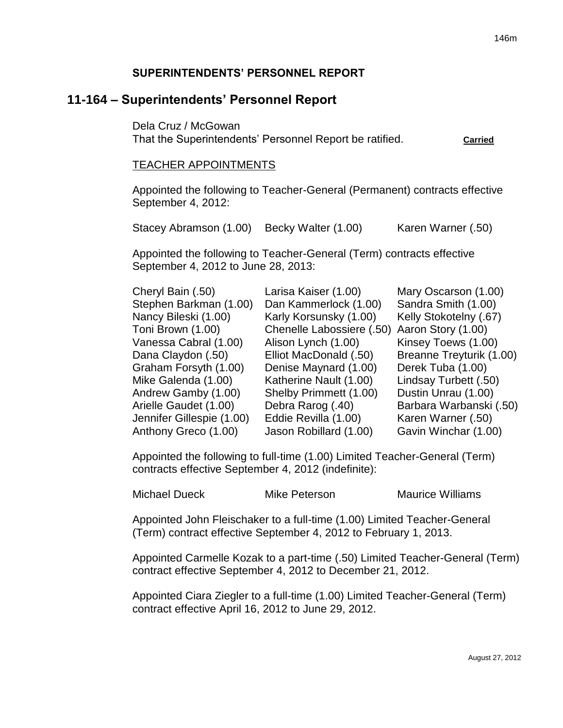### **SUPERINTENDENTS' PERSONNEL REPORT**

# **11-164 – Superintendents' Personnel Report**

Dela Cruz / McGowan That the Superintendents' Personnel Report be ratified. **Carried**

#### TEACHER APPOINTMENTS

Appointed the following to Teacher-General (Permanent) contracts effective September 4, 2012:

Stacey Abramson (1.00) Becky Walter (1.00) Karen Warner (.50)

Appointed the following to Teacher-General (Term) contracts effective September 4, 2012 to June 28, 2013:

| Cheryl Bain (.50)         | Larisa Kaiser (1.00)      | Mary Oscarson (1.00)     |
|---------------------------|---------------------------|--------------------------|
| Stephen Barkman (1.00)    | Dan Kammerlock (1.00)     | Sandra Smith (1.00)      |
| Nancy Bileski (1.00)      | Karly Korsunsky (1.00)    | Kelly Stokotelny (.67)   |
| Toni Brown (1.00)         | Chenelle Labossiere (.50) | Aaron Story (1.00)       |
| Vanessa Cabral (1.00)     | Alison Lynch (1.00)       | Kinsey Toews (1.00)      |
| Dana Claydon (.50)        | Elliot MacDonald (.50)    | Breanne Treyturik (1.00) |
| Graham Forsyth (1.00)     | Denise Maynard (1.00)     | Derek Tuba (1.00)        |
| Mike Galenda (1.00)       | Katherine Nault (1.00)    | Lindsay Turbett (.50)    |
| Andrew Gamby (1.00)       | Shelby Primmett (1.00)    | Dustin Unrau (1.00)      |
| Arielle Gaudet (1.00)     | Debra Rarog (.40)         | Barbara Warbanski (.50)  |
| Jennifer Gillespie (1.00) | Eddie Revilla (1.00)      | Karen Warner (.50)       |
| Anthony Greco (1.00)      | Jason Robillard (1.00)    | Gavin Winchar (1.00)     |
|                           |                           |                          |

Appointed the following to full-time (1.00) Limited Teacher-General (Term) contracts effective September 4, 2012 (indefinite):

Michael Dueck Mike Peterson Maurice Williams

Appointed John Fleischaker to a full-time (1.00) Limited Teacher-General (Term) contract effective September 4, 2012 to February 1, 2013.

Appointed Carmelle Kozak to a part-time (.50) Limited Teacher-General (Term) contract effective September 4, 2012 to December 21, 2012.

Appointed Ciara Ziegler to a full-time (1.00) Limited Teacher-General (Term) contract effective April 16, 2012 to June 29, 2012.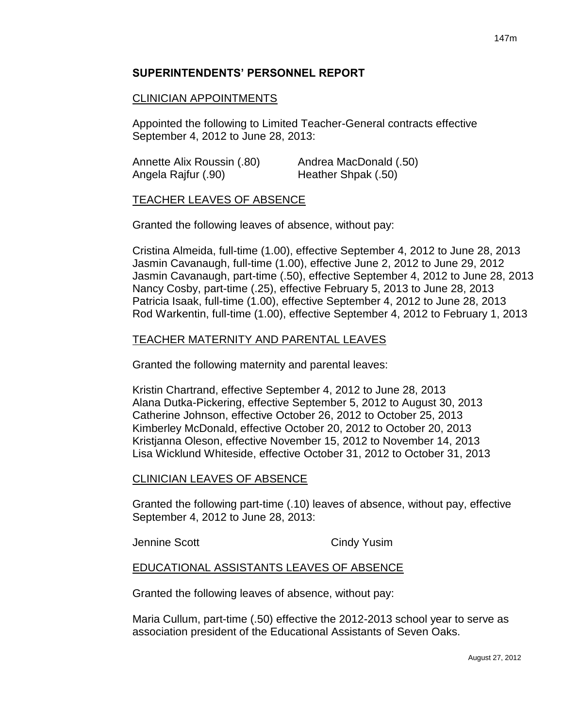# **SUPERINTENDENTS' PERSONNEL REPORT**

# CLINICIAN APPOINTMENTS

Appointed the following to Limited Teacher-General contracts effective September 4, 2012 to June 28, 2013:

| Annette Alix Roussin (.80) | Andrea MacDonald (.50) |
|----------------------------|------------------------|
| Angela Rajfur (.90)        | Heather Shpak (.50)    |

#### TEACHER LEAVES OF ABSENCE

Granted the following leaves of absence, without pay:

Cristina Almeida, full-time (1.00), effective September 4, 2012 to June 28, 2013 Jasmin Cavanaugh, full-time (1.00), effective June 2, 2012 to June 29, 2012 Jasmin Cavanaugh, part-time (.50), effective September 4, 2012 to June 28, 2013 Nancy Cosby, part-time (.25), effective February 5, 2013 to June 28, 2013 Patricia Isaak, full-time (1.00), effective September 4, 2012 to June 28, 2013 Rod Warkentin, full-time (1.00), effective September 4, 2012 to February 1, 2013

#### TEACHER MATERNITY AND PARENTAL LEAVES

Granted the following maternity and parental leaves:

Kristin Chartrand, effective September 4, 2012 to June 28, 2013 Alana Dutka-Pickering, effective September 5, 2012 to August 30, 2013 Catherine Johnson, effective October 26, 2012 to October 25, 2013 Kimberley McDonald, effective October 20, 2012 to October 20, 2013 Kristjanna Oleson, effective November 15, 2012 to November 14, 2013 Lisa Wicklund Whiteside, effective October 31, 2012 to October 31, 2013

#### CLINICIAN LEAVES OF ABSENCE

Granted the following part-time (.10) leaves of absence, without pay, effective September 4, 2012 to June 28, 2013:

Jennine Scott Cindy Yusim

## EDUCATIONAL ASSISTANTS LEAVES OF ABSENCE

Granted the following leaves of absence, without pay:

Maria Cullum, part-time (.50) effective the 2012-2013 school year to serve as association president of the Educational Assistants of Seven Oaks.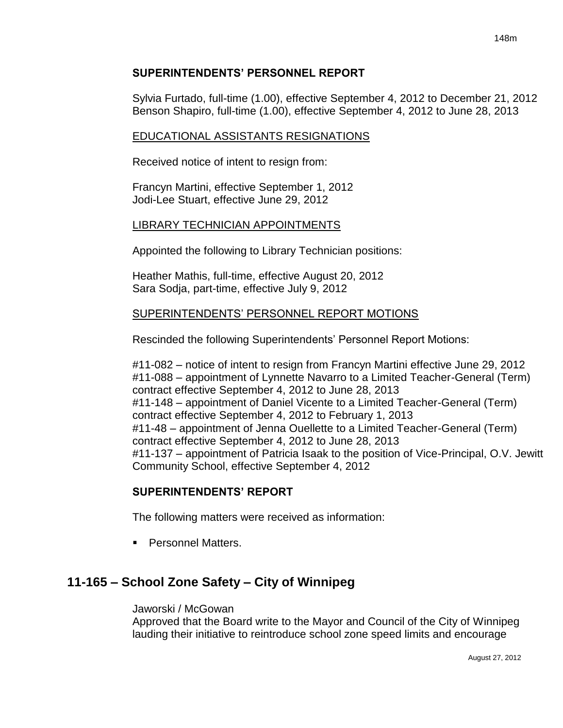Sylvia Furtado, full-time (1.00), effective September 4, 2012 to December 21, 2012 Benson Shapiro, full-time (1.00), effective September 4, 2012 to June 28, 2013

# EDUCATIONAL ASSISTANTS RESIGNATIONS

Received notice of intent to resign from:

Francyn Martini, effective September 1, 2012 Jodi-Lee Stuart, effective June 29, 2012

# LIBRARY TECHNICIAN APPOINTMENTS

Appointed the following to Library Technician positions:

Heather Mathis, full-time, effective August 20, 2012 Sara Sodja, part-time, effective July 9, 2012

# SUPERINTENDENTS' PERSONNEL REPORT MOTIONS

Rescinded the following Superintendents' Personnel Report Motions:

#11-082 – notice of intent to resign from Francyn Martini effective June 29, 2012 #11-088 – appointment of Lynnette Navarro to a Limited Teacher-General (Term) contract effective September 4, 2012 to June 28, 2013 #11-148 – appointment of Daniel Vicente to a Limited Teacher-General (Term) contract effective September 4, 2012 to February 1, 2013 #11-48 – appointment of Jenna Ouellette to a Limited Teacher-General (Term) contract effective September 4, 2012 to June 28, 2013 #11-137 – appointment of Patricia Isaak to the position of Vice-Principal, O.V. Jewitt Community School, effective September 4, 2012

# **SUPERINTENDENTS' REPORT**

The following matters were received as information:

**Personnel Matters.** 

# **11-165 – School Zone Safety – City of Winnipeg**

# Jaworski / McGowan

Approved that the Board write to the Mayor and Council of the City of Winnipeg lauding their initiative to reintroduce school zone speed limits and encourage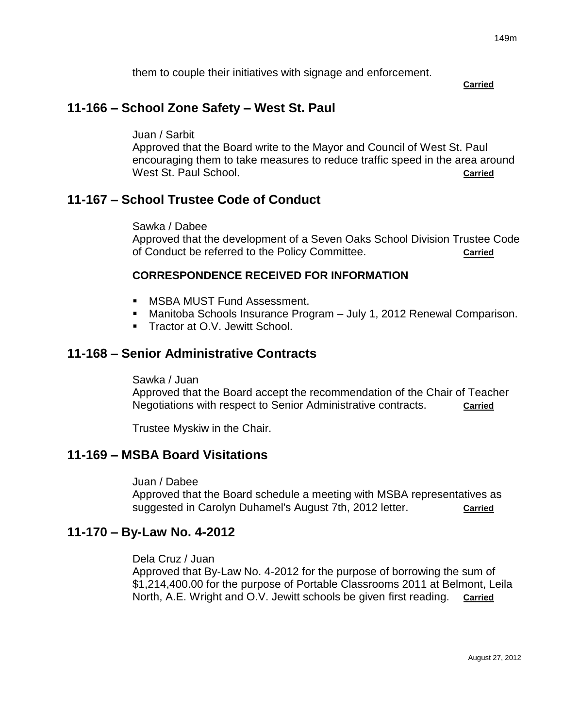them to couple their initiatives with signage and enforcement.

**Carried**

# **11-166 – School Zone Safety – West St. Paul**

Juan / Sarbit

Approved that the Board write to the Mayor and Council of West St. Paul encouraging them to take measures to reduce traffic speed in the area around West St. Paul School. **Carried Carried Carried Carried** 

# **11-167 – School Trustee Code of Conduct**

Sawka / Dabee

Approved that the development of a Seven Oaks School Division Trustee Code of Conduct be referred to the Policy Committee. **Carried**

#### **CORRESPONDENCE RECEIVED FOR INFORMATION**

- **MSBA MUST Fund Assessment.**
- Manitoba Schools Insurance Program July 1, 2012 Renewal Comparison.
- **Tractor at O.V. Jewitt School.**

# **11-168 – Senior Administrative Contracts**

Sawka / Juan

Approved that the Board accept the recommendation of the Chair of Teacher Negotiations with respect to Senior Administrative contracts. **Carried**

Trustee Myskiw in the Chair.

# **11-169 – MSBA Board Visitations**

Juan / Dabee

Approved that the Board schedule a meeting with MSBA representatives as suggested in Carolyn Duhamel's August 7th, 2012 letter. **Carried**

# **11-170 – By-Law No. 4-2012**

Dela Cruz / Juan

Approved that By-Law No. 4-2012 for the purpose of borrowing the sum of \$1,214,400.00 for the purpose of Portable Classrooms 2011 at Belmont, Leila North, A.E. Wright and O.V. Jewitt schools be given first reading. **Carried**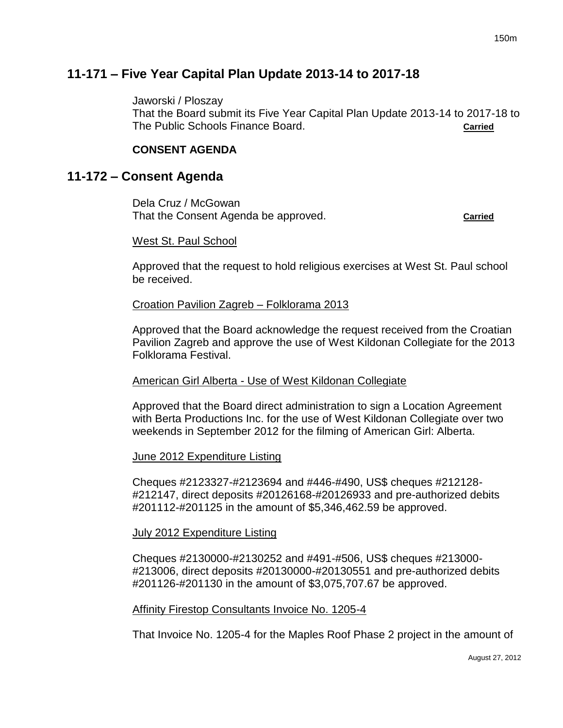# **11-171 – Five Year Capital Plan Update 2013-14 to 2017-18**

Jaworski / Ploszay

That the Board submit its Five Year Capital Plan Update 2013-14 to 2017-18 to The Public Schools Finance Board. **Carried**

### **CONSENT AGENDA**

# **11-172 – Consent Agenda**

Dela Cruz / McGowan That the Consent Agenda be approved. **Carried**

#### West St. Paul School

Approved that the request to hold religious exercises at West St. Paul school be received.

#### Croation Pavilion Zagreb – Folklorama 2013

Approved that the Board acknowledge the request received from the Croatian Pavilion Zagreb and approve the use of West Kildonan Collegiate for the 2013 Folklorama Festival.

#### American Girl Alberta - Use of West Kildonan Collegiate

Approved that the Board direct administration to sign a Location Agreement with Berta Productions Inc. for the use of West Kildonan Collegiate over two weekends in September 2012 for the filming of American Girl: Alberta.

#### June 2012 Expenditure Listing

Cheques #2123327-#2123694 and #446-#490, US\$ cheques #212128- #212147, direct deposits #20126168-#20126933 and pre-authorized debits #201112-#201125 in the amount of \$5,346,462.59 be approved.

#### July 2012 Expenditure Listing

Cheques #2130000-#2130252 and #491-#506, US\$ cheques #213000- #213006, direct deposits #20130000-#20130551 and pre-authorized debits #201126-#201130 in the amount of \$3,075,707.67 be approved.

#### Affinity Firestop Consultants Invoice No. 1205-4

That Invoice No. 1205-4 for the Maples Roof Phase 2 project in the amount of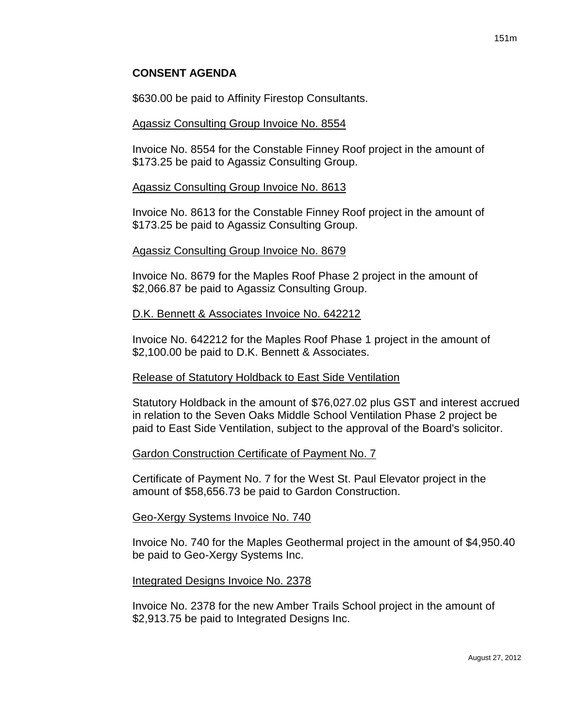\$630.00 be paid to Affinity Firestop Consultants.

#### Agassiz Consulting Group Invoice No. 8554

Invoice No. 8554 for the Constable Finney Roof project in the amount of \$173.25 be paid to Agassiz Consulting Group.

#### Agassiz Consulting Group Invoice No. 8613

Invoice No. 8613 for the Constable Finney Roof project in the amount of \$173.25 be paid to Agassiz Consulting Group.

#### Agassiz Consulting Group Invoice No. 8679

Invoice No. 8679 for the Maples Roof Phase 2 project in the amount of \$2,066.87 be paid to Agassiz Consulting Group.

#### D.K. Bennett & Associates Invoice No. 642212

Invoice No. 642212 for the Maples Roof Phase 1 project in the amount of \$2,100.00 be paid to D.K. Bennett & Associates.

#### Release of Statutory Holdback to East Side Ventilation

Statutory Holdback in the amount of \$76,027.02 plus GST and interest accrued in relation to the Seven Oaks Middle School Ventilation Phase 2 project be paid to East Side Ventilation, subject to the approval of the Board's solicitor.

#### Gardon Construction Certificate of Payment No. 7

Certificate of Payment No. 7 for the West St. Paul Elevator project in the amount of \$58,656.73 be paid to Gardon Construction.

#### Geo-Xergy Systems Invoice No. 740

Invoice No. 740 for the Maples Geothermal project in the amount of \$4,950.40 be paid to Geo-Xergy Systems Inc.

#### Integrated Designs Invoice No. 2378

Invoice No. 2378 for the new Amber Trails School project in the amount of \$2,913.75 be paid to Integrated Designs Inc.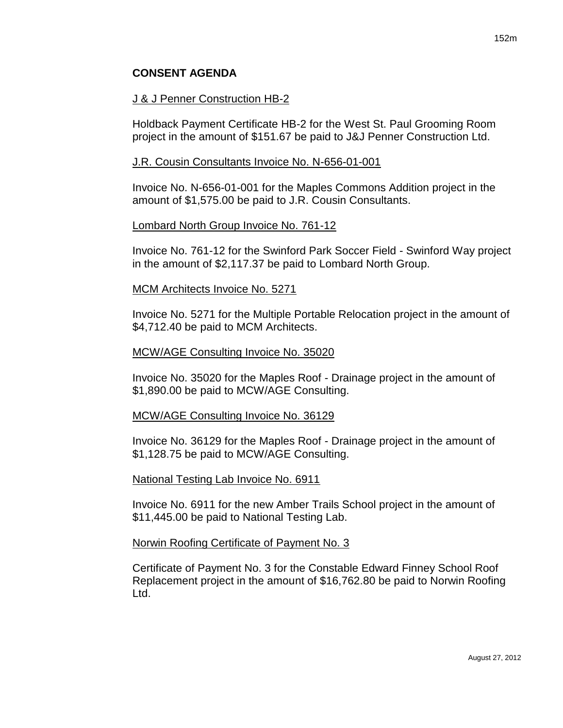#### J & J Penner Construction HB-2

Holdback Payment Certificate HB-2 for the West St. Paul Grooming Room project in the amount of \$151.67 be paid to J&J Penner Construction Ltd.

#### J.R. Cousin Consultants Invoice No. N-656-01-001

Invoice No. N-656-01-001 for the Maples Commons Addition project in the amount of \$1,575.00 be paid to J.R. Cousin Consultants.

#### Lombard North Group Invoice No. 761-12

Invoice No. 761-12 for the Swinford Park Soccer Field - Swinford Way project in the amount of \$2,117.37 be paid to Lombard North Group.

#### MCM Architects Invoice No. 5271

Invoice No. 5271 for the Multiple Portable Relocation project in the amount of \$4,712.40 be paid to MCM Architects.

#### MCW/AGE Consulting Invoice No. 35020

Invoice No. 35020 for the Maples Roof - Drainage project in the amount of \$1,890.00 be paid to MCW/AGE Consulting.

#### MCW/AGE Consulting Invoice No. 36129

Invoice No. 36129 for the Maples Roof - Drainage project in the amount of \$1,128.75 be paid to MCW/AGE Consulting.

#### National Testing Lab Invoice No. 6911

Invoice No. 6911 for the new Amber Trails School project in the amount of \$11,445.00 be paid to National Testing Lab.

#### Norwin Roofing Certificate of Payment No. 3

Certificate of Payment No. 3 for the Constable Edward Finney School Roof Replacement project in the amount of \$16,762.80 be paid to Norwin Roofing Ltd.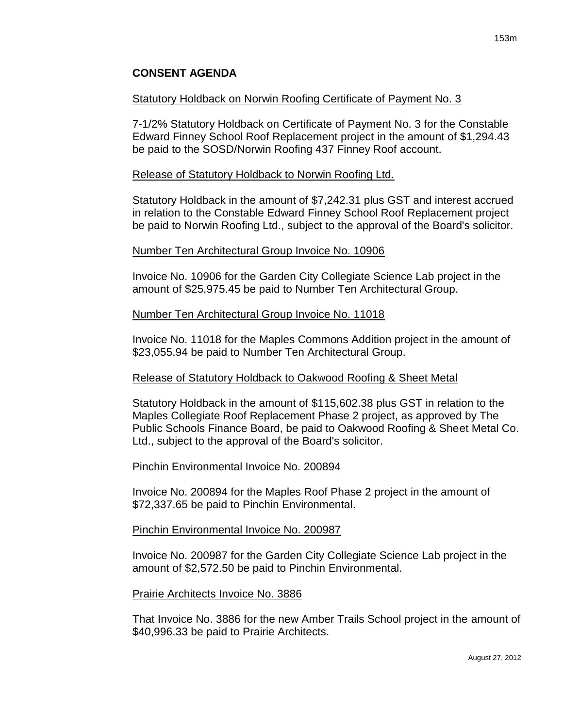#### Statutory Holdback on Norwin Roofing Certificate of Payment No. 3

7-1/2% Statutory Holdback on Certificate of Payment No. 3 for the Constable Edward Finney School Roof Replacement project in the amount of \$1,294.43 be paid to the SOSD/Norwin Roofing 437 Finney Roof account.

#### Release of Statutory Holdback to Norwin Roofing Ltd.

Statutory Holdback in the amount of \$7,242.31 plus GST and interest accrued in relation to the Constable Edward Finney School Roof Replacement project be paid to Norwin Roofing Ltd., subject to the approval of the Board's solicitor.

#### Number Ten Architectural Group Invoice No. 10906

Invoice No. 10906 for the Garden City Collegiate Science Lab project in the amount of \$25,975.45 be paid to Number Ten Architectural Group.

#### Number Ten Architectural Group Invoice No. 11018

Invoice No. 11018 for the Maples Commons Addition project in the amount of \$23,055.94 be paid to Number Ten Architectural Group.

## Release of Statutory Holdback to Oakwood Roofing & Sheet Metal

Statutory Holdback in the amount of \$115,602.38 plus GST in relation to the Maples Collegiate Roof Replacement Phase 2 project, as approved by The Public Schools Finance Board, be paid to Oakwood Roofing & Sheet Metal Co. Ltd., subject to the approval of the Board's solicitor.

#### Pinchin Environmental Invoice No. 200894

Invoice No. 200894 for the Maples Roof Phase 2 project in the amount of \$72,337.65 be paid to Pinchin Environmental.

## Pinchin Environmental Invoice No. 200987

Invoice No. 200987 for the Garden City Collegiate Science Lab project in the amount of \$2,572.50 be paid to Pinchin Environmental.

#### Prairie Architects Invoice No. 3886

That Invoice No. 3886 for the new Amber Trails School project in the amount of \$40,996.33 be paid to Prairie Architects.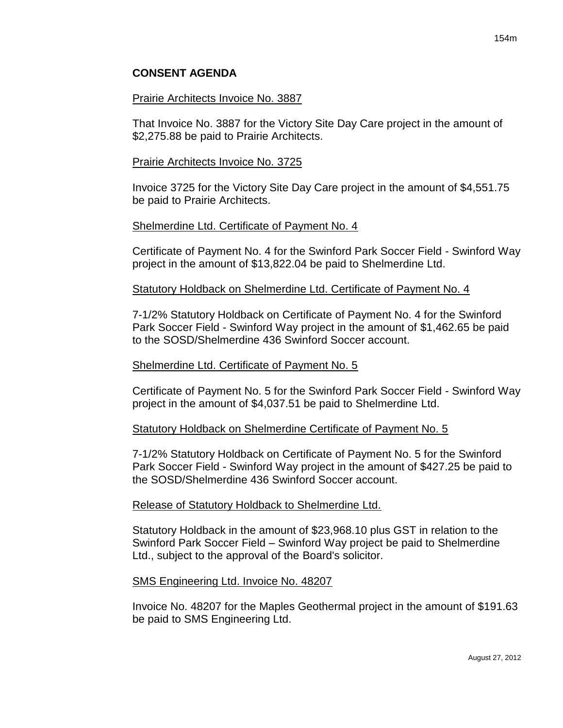#### Prairie Architects Invoice No. 3887

That Invoice No. 3887 for the Victory Site Day Care project in the amount of \$2,275.88 be paid to Prairie Architects.

#### Prairie Architects Invoice No. 3725

Invoice 3725 for the Victory Site Day Care project in the amount of \$4,551.75 be paid to Prairie Architects.

#### Shelmerdine Ltd. Certificate of Payment No. 4

Certificate of Payment No. 4 for the Swinford Park Soccer Field - Swinford Way project in the amount of \$13,822.04 be paid to Shelmerdine Ltd.

#### Statutory Holdback on Shelmerdine Ltd. Certificate of Payment No. 4

7-1/2% Statutory Holdback on Certificate of Payment No. 4 for the Swinford Park Soccer Field - Swinford Way project in the amount of \$1,462.65 be paid to the SOSD/Shelmerdine 436 Swinford Soccer account.

#### Shelmerdine Ltd. Certificate of Payment No. 5

Certificate of Payment No. 5 for the Swinford Park Soccer Field - Swinford Way project in the amount of \$4,037.51 be paid to Shelmerdine Ltd.

## Statutory Holdback on Shelmerdine Certificate of Payment No. 5

7-1/2% Statutory Holdback on Certificate of Payment No. 5 for the Swinford Park Soccer Field - Swinford Way project in the amount of \$427.25 be paid to the SOSD/Shelmerdine 436 Swinford Soccer account.

## Release of Statutory Holdback to Shelmerdine Ltd.

Statutory Holdback in the amount of \$23,968.10 plus GST in relation to the Swinford Park Soccer Field – Swinford Way project be paid to Shelmerdine Ltd., subject to the approval of the Board's solicitor.

#### SMS Engineering Ltd. Invoice No. 48207

Invoice No. 48207 for the Maples Geothermal project in the amount of \$191.63 be paid to SMS Engineering Ltd.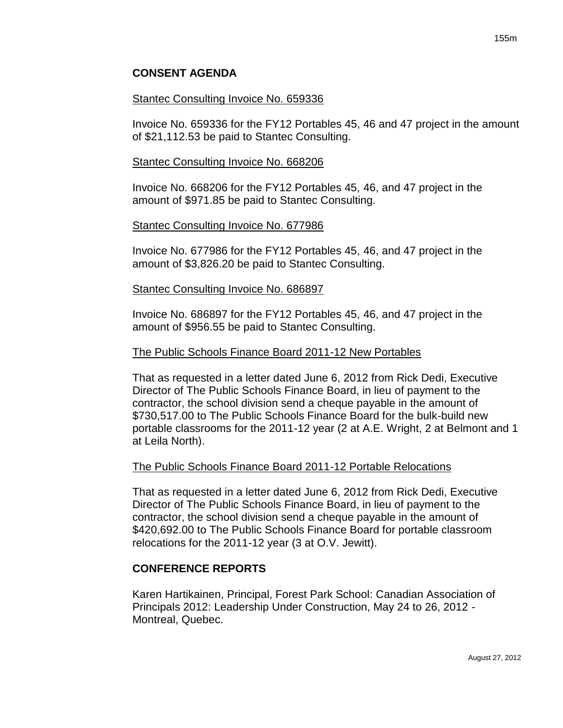#### Stantec Consulting Invoice No. 659336

Invoice No. 659336 for the FY12 Portables 45, 46 and 47 project in the amount of \$21,112.53 be paid to Stantec Consulting.

#### Stantec Consulting Invoice No. 668206

Invoice No. 668206 for the FY12 Portables 45, 46, and 47 project in the amount of \$971.85 be paid to Stantec Consulting.

#### Stantec Consulting Invoice No. 677986

Invoice No. 677986 for the FY12 Portables 45, 46, and 47 project in the amount of \$3,826.20 be paid to Stantec Consulting.

#### Stantec Consulting Invoice No. 686897

Invoice No. 686897 for the FY12 Portables 45, 46, and 47 project in the amount of \$956.55 be paid to Stantec Consulting.

#### The Public Schools Finance Board 2011-12 New Portables

That as requested in a letter dated June 6, 2012 from Rick Dedi, Executive Director of The Public Schools Finance Board, in lieu of payment to the contractor, the school division send a cheque payable in the amount of \$730,517.00 to The Public Schools Finance Board for the bulk-build new portable classrooms for the 2011-12 year (2 at A.E. Wright, 2 at Belmont and 1 at Leila North).

## The Public Schools Finance Board 2011-12 Portable Relocations

That as requested in a letter dated June 6, 2012 from Rick Dedi, Executive Director of The Public Schools Finance Board, in lieu of payment to the contractor, the school division send a cheque payable in the amount of \$420,692.00 to The Public Schools Finance Board for portable classroom relocations for the 2011-12 year (3 at O.V. Jewitt).

## **CONFERENCE REPORTS**

Karen Hartikainen, Principal, Forest Park School: Canadian Association of Principals 2012: Leadership Under Construction, May 24 to 26, 2012 - Montreal, Quebec.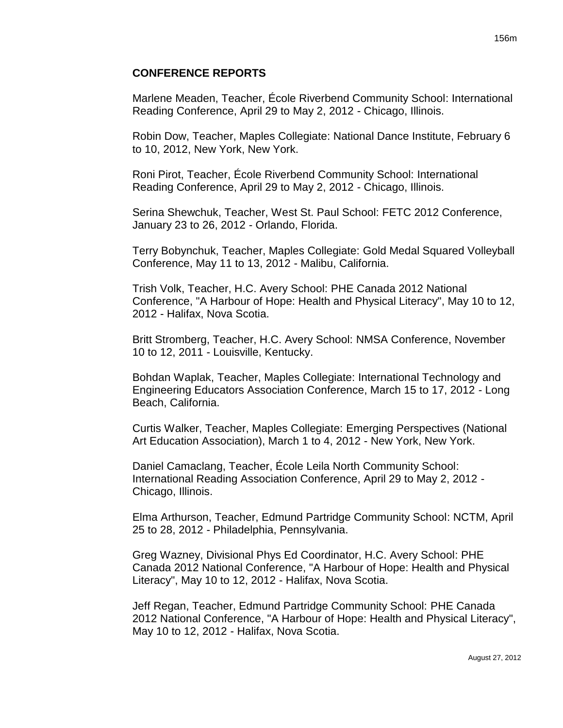#### **CONFERENCE REPORTS**

Marlene Meaden, Teacher, École Riverbend Community School: International Reading Conference, April 29 to May 2, 2012 - Chicago, Illinois.

Robin Dow, Teacher, Maples Collegiate: National Dance Institute, February 6 to 10, 2012, New York, New York.

Roni Pirot, Teacher, École Riverbend Community School: International Reading Conference, April 29 to May 2, 2012 - Chicago, Illinois.

Serina Shewchuk, Teacher, West St. Paul School: FETC 2012 Conference, January 23 to 26, 2012 - Orlando, Florida.

Terry Bobynchuk, Teacher, Maples Collegiate: Gold Medal Squared Volleyball Conference, May 11 to 13, 2012 - Malibu, California.

Trish Volk, Teacher, H.C. Avery School: PHE Canada 2012 National Conference, "A Harbour of Hope: Health and Physical Literacy", May 10 to 12, 2012 - Halifax, Nova Scotia.

Britt Stromberg, Teacher, H.C. Avery School: NMSA Conference, November 10 to 12, 2011 - Louisville, Kentucky.

Bohdan Waplak, Teacher, Maples Collegiate: International Technology and Engineering Educators Association Conference, March 15 to 17, 2012 - Long Beach, California.

Curtis Walker, Teacher, Maples Collegiate: Emerging Perspectives (National Art Education Association), March 1 to 4, 2012 - New York, New York.

Daniel Camaclang, Teacher, École Leila North Community School: International Reading Association Conference, April 29 to May 2, 2012 - Chicago, Illinois.

Elma Arthurson, Teacher, Edmund Partridge Community School: NCTM, April 25 to 28, 2012 - Philadelphia, Pennsylvania.

Greg Wazney, Divisional Phys Ed Coordinator, H.C. Avery School: PHE Canada 2012 National Conference, "A Harbour of Hope: Health and Physical Literacy", May 10 to 12, 2012 - Halifax, Nova Scotia.

Jeff Regan, Teacher, Edmund Partridge Community School: PHE Canada 2012 National Conference, "A Harbour of Hope: Health and Physical Literacy", May 10 to 12, 2012 - Halifax, Nova Scotia.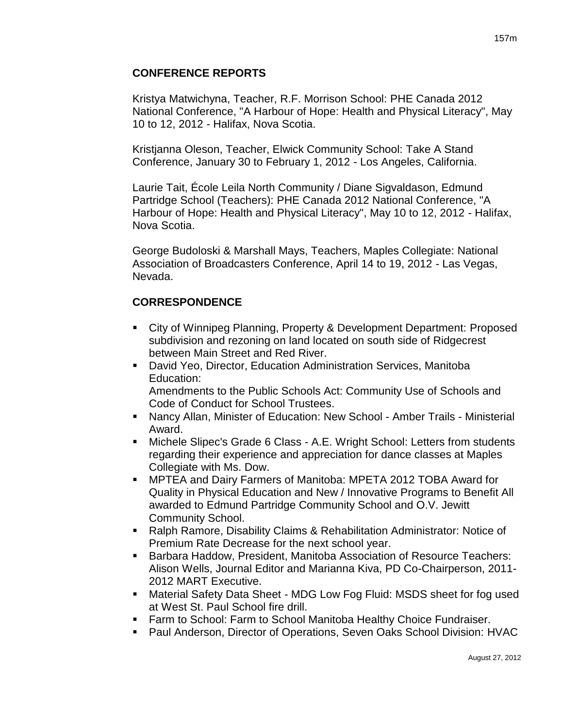# **CONFERENCE REPORTS**

Kristya Matwichyna, Teacher, R.F. Morrison School: PHE Canada 2012 National Conference, "A Harbour of Hope: Health and Physical Literacy", May 10 to 12, 2012 - Halifax, Nova Scotia.

Kristjanna Oleson, Teacher, Elwick Community School: Take A Stand Conference, January 30 to February 1, 2012 - Los Angeles, California.

Laurie Tait, École Leila North Community / Diane Sigvaldason, Edmund Partridge School (Teachers): PHE Canada 2012 National Conference, "A Harbour of Hope: Health and Physical Literacy", May 10 to 12, 2012 - Halifax, Nova Scotia.

George Budoloski & Marshall Mays, Teachers, Maples Collegiate: National Association of Broadcasters Conference, April 14 to 19, 2012 - Las Vegas, Nevada.

# **CORRESPONDENCE**

- City of Winnipeg Planning, Property & Development Department: Proposed subdivision and rezoning on land located on south side of Ridgecrest between Main Street and Red River.
- David Yeo, Director, Education Administration Services, Manitoba Education: Amendments to the Public Schools Act: Community Use of Schools and Code of Conduct for School Trustees.
- Nancy Allan, Minister of Education: New School Amber Trails Ministerial Award.
- Michele Slipec's Grade 6 Class A.E. Wright School: Letters from students regarding their experience and appreciation for dance classes at Maples Collegiate with Ms. Dow.
- MPTEA and Dairy Farmers of Manitoba: MPETA 2012 TOBA Award for Quality in Physical Education and New / Innovative Programs to Benefit All awarded to Edmund Partridge Community School and O.V. Jewitt Community School.
- Ralph Ramore, Disability Claims & Rehabilitation Administrator: Notice of Premium Rate Decrease for the next school year.
- **Barbara Haddow, President, Manitoba Association of Resource Teachers:** Alison Wells, Journal Editor and Marianna Kiva, PD Co-Chairperson, 2011- 2012 MART Executive.
- Material Safety Data Sheet MDG Low Fog Fluid: MSDS sheet for fog used at West St. Paul School fire drill.
- **Farm to School: Farm to School Manitoba Healthy Choice Fundraiser.**
- **Paul Anderson, Director of Operations, Seven Oaks School Division: HVAC**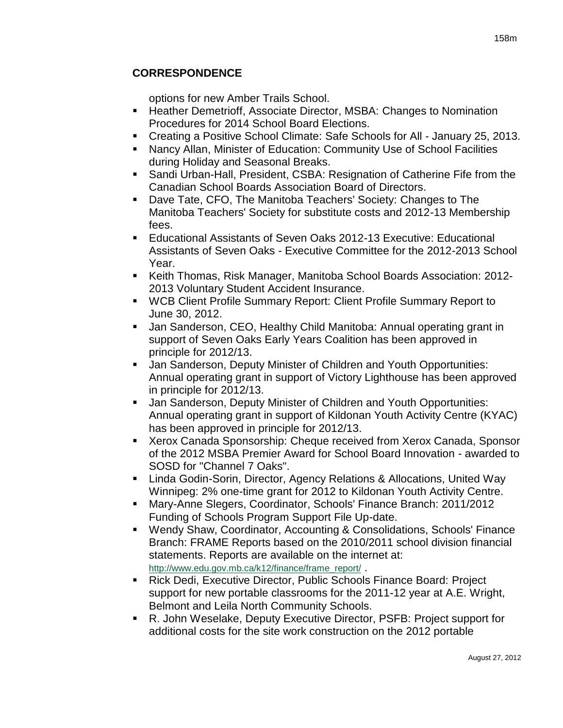# **CORRESPONDENCE**

options for new Amber Trails School.

- Heather Demetrioff, Associate Director, MSBA: Changes to Nomination Procedures for 2014 School Board Elections.
- Creating a Positive School Climate: Safe Schools for All January 25, 2013.
- Nancy Allan, Minister of Education: Community Use of School Facilities during Holiday and Seasonal Breaks.
- Sandi Urban-Hall, President, CSBA: Resignation of Catherine Fife from the Canadian School Boards Association Board of Directors.
- Dave Tate, CFO, The Manitoba Teachers' Society: Changes to The Manitoba Teachers' Society for substitute costs and 2012-13 Membership fees.
- Educational Assistants of Seven Oaks 2012-13 Executive: Educational Assistants of Seven Oaks - Executive Committee for the 2012-2013 School Year.
- Keith Thomas, Risk Manager, Manitoba School Boards Association: 2012- 2013 Voluntary Student Accident Insurance.
- WCB Client Profile Summary Report: Client Profile Summary Report to June 30, 2012.
- Jan Sanderson, CEO, Healthy Child Manitoba: Annual operating grant in support of Seven Oaks Early Years Coalition has been approved in principle for 2012/13.
- **Jan Sanderson, Deputy Minister of Children and Youth Opportunities:** Annual operating grant in support of Victory Lighthouse has been approved in principle for 2012/13.
- **Jan Sanderson, Deputy Minister of Children and Youth Opportunities:** Annual operating grant in support of Kildonan Youth Activity Centre (KYAC) has been approved in principle for 2012/13.
- Xerox Canada Sponsorship: Cheque received from Xerox Canada, Sponsor of the 2012 MSBA Premier Award for School Board Innovation - awarded to SOSD for "Channel 7 Oaks".
- Linda Godin-Sorin, Director, Agency Relations & Allocations, United Way Winnipeg: 2% one-time grant for 2012 to Kildonan Youth Activity Centre.
- Mary-Anne Slegers, Coordinator, Schools' Finance Branch: 2011/2012 Funding of Schools Program Support File Up-date.
- Wendy Shaw, Coordinator, Accounting & Consolidations, Schools' Finance Branch: FRAME Reports based on the 2010/2011 school division financial statements. Reports are available on the internet at: [http://www.edu.gov.mb.ca/k12/finance/frame\\_report/](http://www.edu.gov.mb.ca/k12/finance/frame_report/).
- Rick Dedi, Executive Director, Public Schools Finance Board: Project support for new portable classrooms for the 2011-12 year at A.E. Wright, Belmont and Leila North Community Schools.
- R. John Weselake, Deputy Executive Director, PSFB: Project support for additional costs for the site work construction on the 2012 portable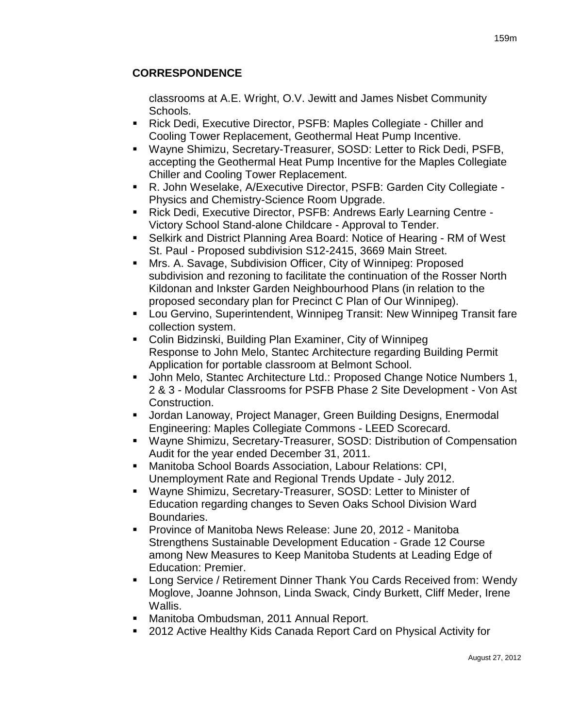# **CORRESPONDENCE**

classrooms at A.E. Wright, O.V. Jewitt and James Nisbet Community Schools.

- Rick Dedi, Executive Director, PSFB: Maples Collegiate Chiller and Cooling Tower Replacement, Geothermal Heat Pump Incentive.
- Wayne Shimizu, Secretary-Treasurer, SOSD: Letter to Rick Dedi, PSFB, accepting the Geothermal Heat Pump Incentive for the Maples Collegiate Chiller and Cooling Tower Replacement.
- R. John Weselake, A/Executive Director, PSFB: Garden City Collegiate Physics and Chemistry-Science Room Upgrade.
- Rick Dedi, Executive Director, PSFB: Andrews Early Learning Centre Victory School Stand-alone Childcare - Approval to Tender.
- Selkirk and District Planning Area Board: Notice of Hearing RM of West St. Paul - Proposed subdivision S12-2415, 3669 Main Street.
- Mrs. A. Savage, Subdivision Officer, City of Winnipeg: Proposed subdivision and rezoning to facilitate the continuation of the Rosser North Kildonan and Inkster Garden Neighbourhood Plans (in relation to the proposed secondary plan for Precinct C Plan of Our Winnipeg).
- Lou Gervino, Superintendent, Winnipeg Transit: New Winnipeg Transit fare collection system.
- Colin Bidzinski, Building Plan Examiner, City of Winnipeg Response to John Melo, Stantec Architecture regarding Building Permit Application for portable classroom at Belmont School.
- John Melo, Stantec Architecture Ltd.: Proposed Change Notice Numbers 1, 2 & 3 - Modular Classrooms for PSFB Phase 2 Site Development - Von Ast Construction.
- Jordan Lanoway, Project Manager, Green Building Designs, Enermodal Engineering: Maples Collegiate Commons - LEED Scorecard.
- Wayne Shimizu, Secretary-Treasurer, SOSD: Distribution of Compensation Audit for the year ended December 31, 2011.
- Manitoba School Boards Association, Labour Relations: CPI, Unemployment Rate and Regional Trends Update - July 2012.
- Wayne Shimizu, Secretary-Treasurer, SOSD: Letter to Minister of Education regarding changes to Seven Oaks School Division Ward Boundaries.
- **Province of Manitoba News Release: June 20, 2012 Manitoba** Strengthens Sustainable Development Education - Grade 12 Course among New Measures to Keep Manitoba Students at Leading Edge of Education: Premier.
- **EXECT AT A Long Service / Retirement Dinner Thank You Cards Received from: Wendy** Moglove, Joanne Johnson, Linda Swack, Cindy Burkett, Cliff Meder, Irene Wallis.
- Manitoba Ombudsman, 2011 Annual Report.
- 2012 Active Healthy Kids Canada Report Card on Physical Activity for